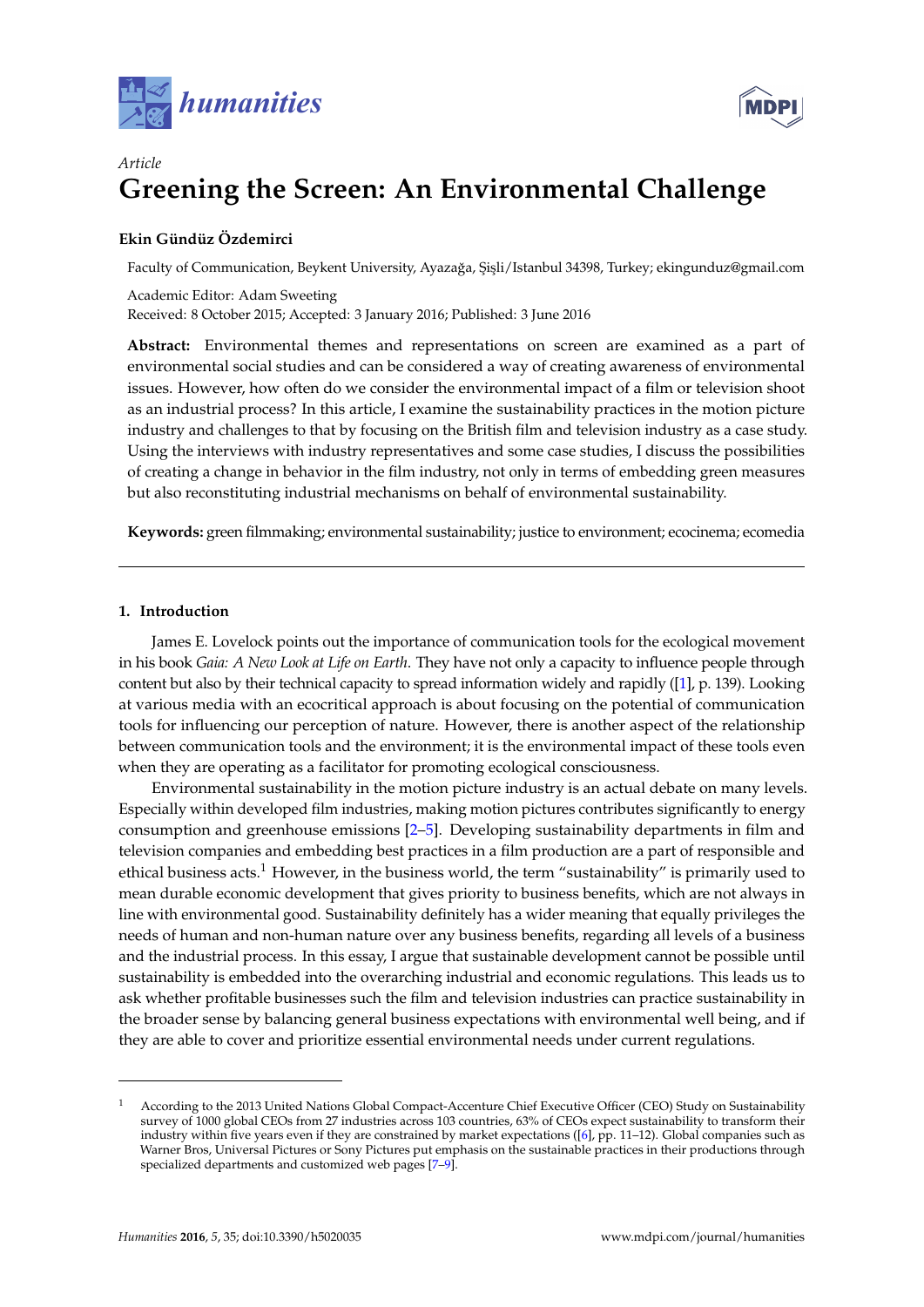



# *Article* **Greening the Screen: An Environmental Challenge**

## **Ekin Gündüz Özdemirci**

Faculty of Communication, Beykent University, Ayazağa, Şişli/Istanbul 34398, Turkey; ekingunduz@gmail.com

Academic Editor: Adam Sweeting Received: 8 October 2015; Accepted: 3 January 2016; Published: 3 June 2016

**Abstract:** Environmental themes and representations on screen are examined as a part of environmental social studies and can be considered a way of creating awareness of environmental issues. However, how often do we consider the environmental impact of a film or television shoot as an industrial process? In this article, I examine the sustainability practices in the motion picture industry and challenges to that by focusing on the British film and television industry as a case study. Using the interviews with industry representatives and some case studies, I discuss the possibilities of creating a change in behavior in the film industry, not only in terms of embedding green measures but also reconstituting industrial mechanisms on behalf of environmental sustainability.

**Keywords:** green filmmaking; environmental sustainability; justice to environment; ecocinema; ecomedia

## **1. Introduction**

James E. Lovelock points out the importance of communication tools for the ecological movement in his book *Gaia: A New Look at Life on Earth*. They have not only a capacity to influence people through content but also by their technical capacity to spread information widely and rapidly ([\[1\]](#page-10-0), p. 139). Looking at various media with an ecocritical approach is about focusing on the potential of communication tools for influencing our perception of nature. However, there is another aspect of the relationship between communication tools and the environment; it is the environmental impact of these tools even when they are operating as a facilitator for promoting ecological consciousness.

Environmental sustainability in the motion picture industry is an actual debate on many levels. Especially within developed film industries, making motion pictures contributes significantly to energy consumption and greenhouse emissions [\[2](#page-10-1)[–5\]](#page-10-2). Developing sustainability departments in film and television companies and embedding best practices in a film production are a part of responsible and ethical business acts.<sup>1</sup> However, in the business world, the term "sustainability" is primarily used to mean durable economic development that gives priority to business benefits, which are not always in line with environmental good. Sustainability definitely has a wider meaning that equally privileges the needs of human and non-human nature over any business benefits, regarding all levels of a business and the industrial process. In this essay, I argue that sustainable development cannot be possible until sustainability is embedded into the overarching industrial and economic regulations. This leads us to ask whether profitable businesses such the film and television industries can practice sustainability in the broader sense by balancing general business expectations with environmental well being, and if they are able to cover and prioritize essential environmental needs under current regulations.

<sup>1</sup> According to the 2013 United Nations Global Compact-Accenture Chief Executive Officer (CEO) Study on Sustainability survey of 1000 global CEOs from 27 industries across 103 countries, 63% of CEOs expect sustainability to transform their industry within five years even if they are constrained by market expectations ([\[6\]](#page-10-3), pp. 11–12). Global companies such as Warner Bros, Universal Pictures or Sony Pictures put emphasis on the sustainable practices in their productions through specialized departments and customized web pages [\[7–](#page-10-4)[9\]](#page-11-0).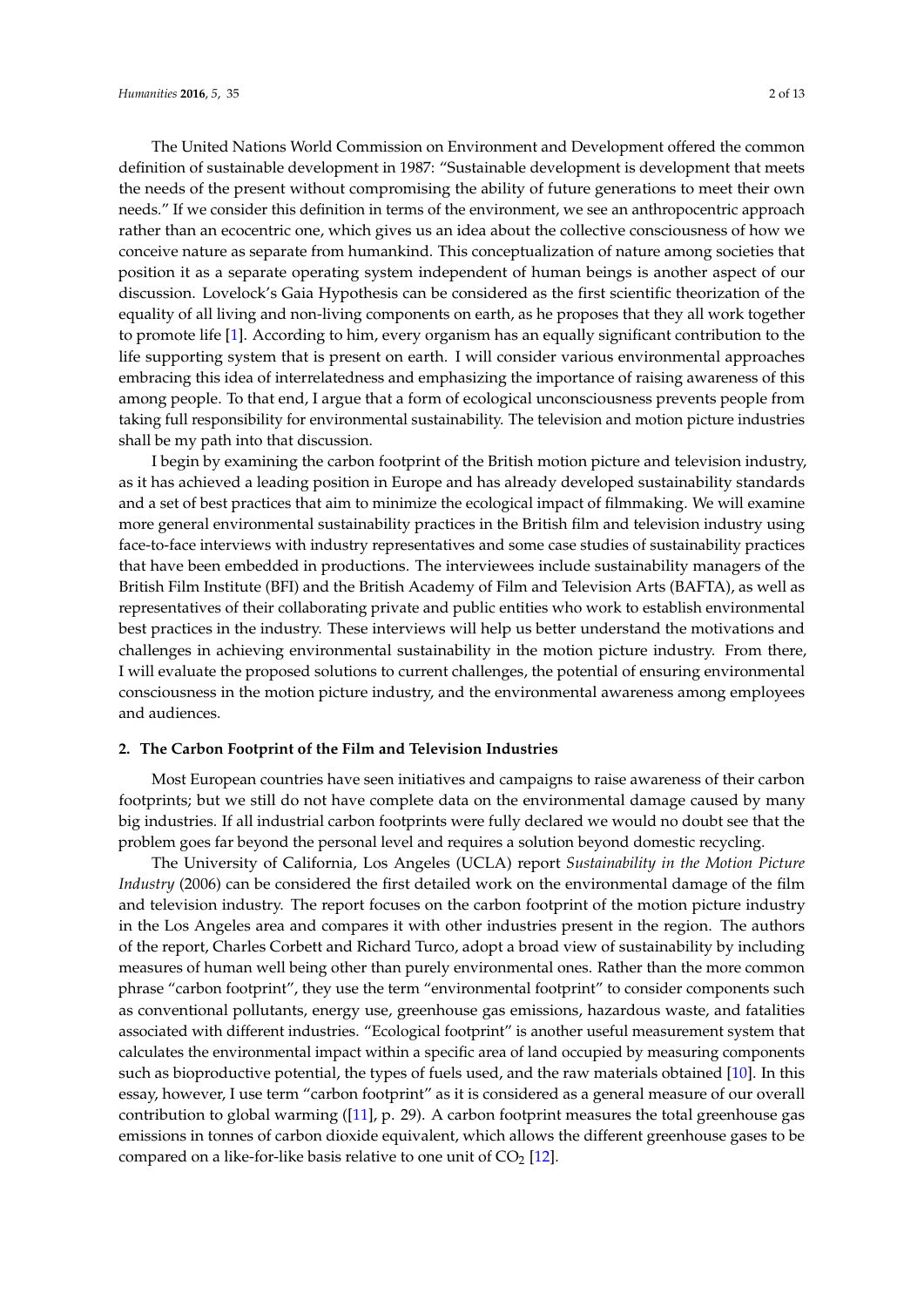The United Nations World Commission on Environment and Development offered the common definition of sustainable development in 1987: "Sustainable development is development that meets the needs of the present without compromising the ability of future generations to meet their own needs." If we consider this definition in terms of the environment, we see an anthropocentric approach rather than an ecocentric one, which gives us an idea about the collective consciousness of how we conceive nature as separate from humankind. This conceptualization of nature among societies that position it as a separate operating system independent of human beings is another aspect of our discussion. Lovelock's Gaia Hypothesis can be considered as the first scientific theorization of the equality of all living and non-living components on earth, as he proposes that they all work together to promote life [\[1\]](#page-10-0). According to him, every organism has an equally significant contribution to the life supporting system that is present on earth. I will consider various environmental approaches embracing this idea of interrelatedness and emphasizing the importance of raising awareness of this among people. To that end, I argue that a form of ecological unconsciousness prevents people from taking full responsibility for environmental sustainability. The television and motion picture industries shall be my path into that discussion.

I begin by examining the carbon footprint of the British motion picture and television industry, as it has achieved a leading position in Europe and has already developed sustainability standards and a set of best practices that aim to minimize the ecological impact of filmmaking. We will examine more general environmental sustainability practices in the British film and television industry using face-to-face interviews with industry representatives and some case studies of sustainability practices that have been embedded in productions. The interviewees include sustainability managers of the British Film Institute (BFI) and the British Academy of Film and Television Arts (BAFTA), as well as representatives of their collaborating private and public entities who work to establish environmental best practices in the industry. These interviews will help us better understand the motivations and challenges in achieving environmental sustainability in the motion picture industry. From there, I will evaluate the proposed solutions to current challenges, the potential of ensuring environmental consciousness in the motion picture industry, and the environmental awareness among employees and audiences.

#### **2. The Carbon Footprint of the Film and Television Industries**

Most European countries have seen initiatives and campaigns to raise awareness of their carbon footprints; but we still do not have complete data on the environmental damage caused by many big industries. If all industrial carbon footprints were fully declared we would no doubt see that the problem goes far beyond the personal level and requires a solution beyond domestic recycling.

The University of California, Los Angeles (UCLA) report *Sustainability in the Motion Picture Industry* (2006) can be considered the first detailed work on the environmental damage of the film and television industry. The report focuses on the carbon footprint of the motion picture industry in the Los Angeles area and compares it with other industries present in the region. The authors of the report, Charles Corbett and Richard Turco, adopt a broad view of sustainability by including measures of human well being other than purely environmental ones. Rather than the more common phrase "carbon footprint", they use the term "environmental footprint" to consider components such as conventional pollutants, energy use, greenhouse gas emissions, hazardous waste, and fatalities associated with different industries. "Ecological footprint" is another useful measurement system that calculates the environmental impact within a specific area of land occupied by measuring components such as bioproductive potential, the types of fuels used, and the raw materials obtained [\[10\]](#page-11-1). In this essay, however, I use term "carbon footprint" as it is considered as a general measure of our overall contribution to global warming ([\[11\]](#page-11-2), p. 29). A carbon footprint measures the total greenhouse gas emissions in tonnes of carbon dioxide equivalent, which allows the different greenhouse gases to be compared on a like-for-like basis relative to one unit of  $CO<sub>2</sub>$  [\[12\]](#page-11-3).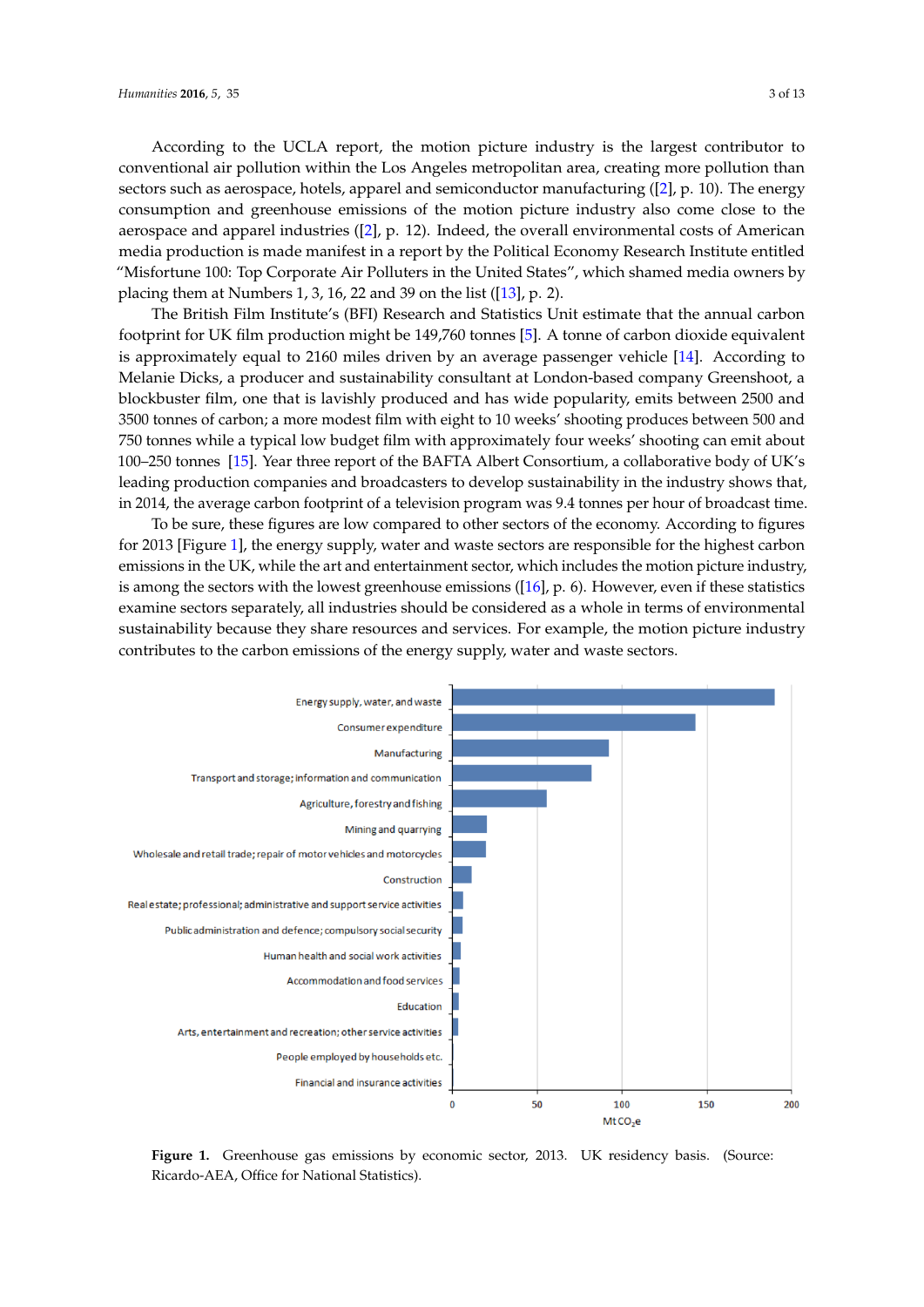According to the UCLA report, the motion picture industry is the largest contributor to conventional air pollution within the Los Angeles metropolitan area, creating more pollution than sectors such as aerospace, hotels, apparel and semiconductor manufacturing ([\[2\]](#page-10-1), p. 10). The energy consumption and greenhouse emissions of the motion picture industry also come close to the<br>media program and manufacture ([2]  $\pm$  12). Industry the propella program and last of American aerospace and apparel industries ([\[2\]](#page-10-1), p. 12). Indeed, the overall environmental costs of American media production is made manifest in a report by the Political Economy Research Institute entitled<br>"Misfortune 100: Top Corporate Air Political Economy Research Institute entitled "Misfortune 100: Top Corporate Air Polluters in the United States", which shamed media owners by<br>Religion that the annual carbon 1.2.16.22 and 20 annual carbon  $(12)$  and 2) placing them at Numbers 1, 3, 16, 22 and 39 on the list ([\[13\]](#page-11-4), p. 2). consumption and greenhouse emissions of the motion picture industry also come close to the placing them at the number of a theory are resident to the list of  $G$ 

The British Film Institute's (BFI) Research and Statistics Unit estimate that the annual carbon The British Film Institute's (BFI) Research and Statistics Unit estimate that the annual carbon footprint for UK film production might be  $149,760$  tonnes  $[5]$ . A tonne of carbon dioxide equivalent is approximately equal to 2160 miles driven by an average passenger vehicle [\[14\]](#page-11-5). According to Melanie Dicks, a producer and sustainability consultant at London-based company Greenshoot, a blockbuster film, one that is lavishly produced and has wide popularity, emits between 2500 and 3500 tonnes of carbon; a more modest film with eight to 10 weeks' shooting produces between 500 and Fourth of the BaFta Albert modest film with eight to 10 weeks shooting produces setween 500 and 750 tonnes while a typical low budget film with approximately four weeks' shooting can emit about 100–250 tonnes [\[15\]](#page-11-6). Year three report of the BAFTA Albert Consortium, a collaborative body of UK's leading production companies and broadcasters to develop sustainability in the industry shows that, in 2014, the average carbon footprint of a television program was 9.4 tonnes per hour of broadcast time.  $b$  blockbuster film, one that is lavished and has wide popularity produced and has wide popularity, emitted and has wide popularity, emitted and has wide popularity,  $\mathbf{r}$ and *a* typical low budget film, one that is lay budget in which approximately found between 2000 tonnes  $\frac{100}{100}$  of  $\frac{100}{100}$  in the industry  $\frac{100}{100}$  of  $\frac{100}{100}$  in the industry in the industry in the industry in the industry in the industry in the industry in the industry in the industry in the industry

To be sure, these figures are low compared to other sectors of the economy. According to figures for 2013 [Figure [1\]](#page-2-0), the energy supply, water and waste sectors are responsible for the highest carbon emissions in the motion of the motion includes the motion includes the motion includes the motion includes the motion i emissions in the UK, while the art and entertainment sector, which includes the motion picture industry,  $\frac{1}{2}$ is among the sectors with the lowest greenhouse emissions  $([16]$  $([16]$ , p. 6). However, even if these statistics examine sectors separately, all industries should be considered as a whole in terms of environmental sustainable values. They share resources and services and services and services and services. The motion of the motion of sustainability because they share resources and services. For example, the motion picture industry contributes to the carbon emissions of the energy supply, water and waste sectors.

<span id="page-2-0"></span>

**Figure 1.** Greenhouse gas extending the sector, 2013. In the sector, 2013. The Sector, 2013. In the Sector, 2013. In the Sector, 2013. In the Sector, 2013. In the Sector, 2013. In the Sector, 2013. In the Sector, 2013. Figure 1. Greenhouse gas emissions by economic sector, 2013. UK residency basis. (Source: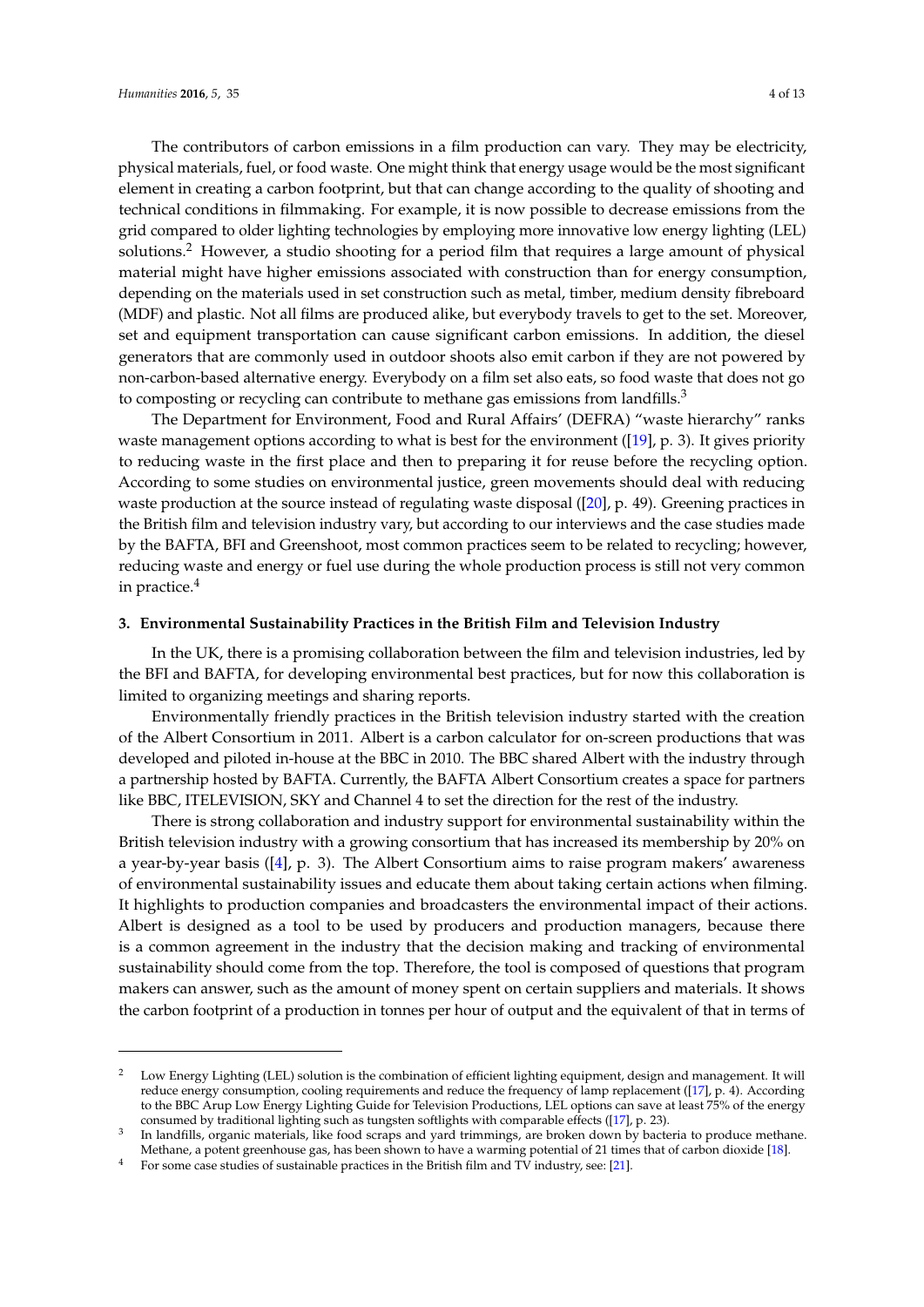The contributors of carbon emissions in a film production can vary. They may be electricity, physical materials, fuel, or food waste. One might think that energy usage would be the most significant element in creating a carbon footprint, but that can change according to the quality of shooting and technical conditions in filmmaking. For example, it is now possible to decrease emissions from the grid compared to older lighting technologies by employing more innovative low energy lighting (LEL) solutions.<sup>2</sup> However, a studio shooting for a period film that requires a large amount of physical material might have higher emissions associated with construction than for energy consumption, depending on the materials used in set construction such as metal, timber, medium density fibreboard (MDF) and plastic. Not all films are produced alike, but everybody travels to get to the set. Moreover, set and equipment transportation can cause significant carbon emissions. In addition, the diesel generators that are commonly used in outdoor shoots also emit carbon if they are not powered by non-carbon-based alternative energy. Everybody on a film set also eats, so food waste that does not go to composting or recycling can contribute to methane gas emissions from landfills.<sup>3</sup>

The Department for Environment, Food and Rural Affairs' (DEFRA) "waste hierarchy" ranks waste management options according to what is best for the environment ([\[19\]](#page-11-8), p. 3). It gives priority to reducing waste in the first place and then to preparing it for reuse before the recycling option. According to some studies on environmental justice, green movements should deal with reducing waste production at the source instead of regulating waste disposal ([\[20\]](#page-11-9), p. 49). Greening practices in the British film and television industry vary, but according to our interviews and the case studies made by the BAFTA, BFI and Greenshoot, most common practices seem to be related to recycling; however, reducing waste and energy or fuel use during the whole production process is still not very common in practice.<sup>4</sup>

#### **3. Environmental Sustainability Practices in the British Film and Television Industry**

In the UK, there is a promising collaboration between the film and television industries, led by the BFI and BAFTA, for developing environmental best practices, but for now this collaboration is limited to organizing meetings and sharing reports.

Environmentally friendly practices in the British television industry started with the creation of the Albert Consortium in 2011. Albert is a carbon calculator for on-screen productions that was developed and piloted in-house at the BBC in 2010. The BBC shared Albert with the industry through a partnership hosted by BAFTA. Currently, the BAFTA Albert Consortium creates a space for partners like BBC, ITELEVISION, SKY and Channel 4 to set the direction for the rest of the industry.

There is strong collaboration and industry support for environmental sustainability within the British television industry with a growing consortium that has increased its membership by 20% on a year-by-year basis ([\[4\]](#page-10-5), p. 3). The Albert Consortium aims to raise program makers' awareness of environmental sustainability issues and educate them about taking certain actions when filming. It highlights to production companies and broadcasters the environmental impact of their actions. Albert is designed as a tool to be used by producers and production managers, because there is a common agreement in the industry that the decision making and tracking of environmental sustainability should come from the top. Therefore, the tool is composed of questions that program makers can answer, such as the amount of money spent on certain suppliers and materials. It shows the carbon footprint of a production in tonnes per hour of output and the equivalent of that in terms of

<sup>&</sup>lt;sup>2</sup> Low Energy Lighting (LEL) solution is the combination of efficient lighting equipment, design and management. It will reduce energy consumption, cooling requirements and reduce the frequency of lamp replacement ([\[17\]](#page-11-10), p. 4). According to the BBC Arup Low Energy Lighting Guide for Television Productions, LEL options can save at least 75% of the energy consumed by traditional lighting such as tungsten softlights with comparable effects ([\[17\]](#page-11-10), p. 23).

<sup>3</sup> In landfills, organic materials, like food scraps and yard trimmings, are broken down by bacteria to produce methane. Methane, a potent greenhouse gas, has been shown to have a warming potential of 21 times that of carbon dioxide [\[18\]](#page-11-11).

<sup>&</sup>lt;sup>4</sup> For some case studies of sustainable practices in the British film and TV industry, see: [\[21\]](#page-11-12).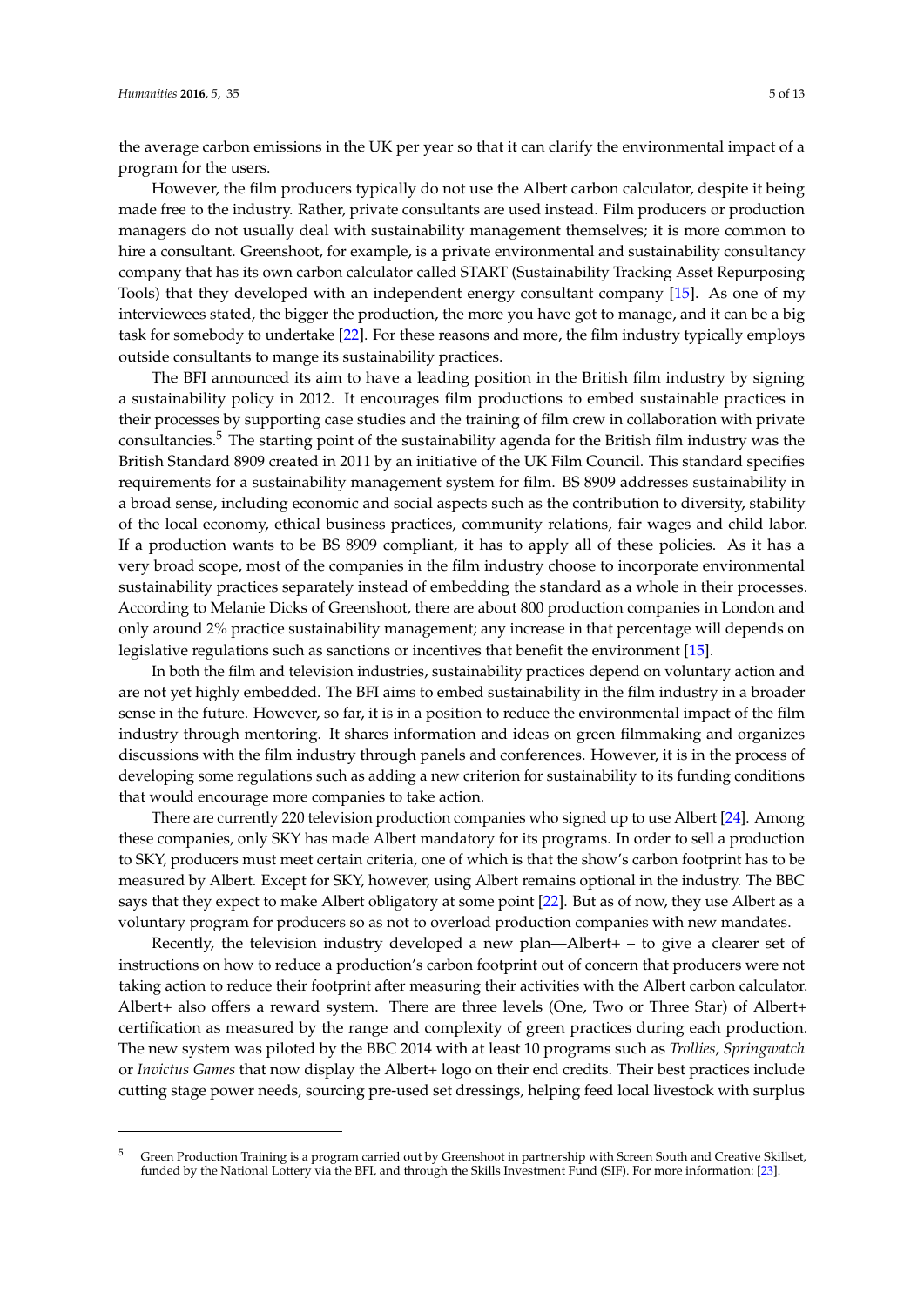the average carbon emissions in the UK per year so that it can clarify the environmental impact of a program for the users.

However, the film producers typically do not use the Albert carbon calculator, despite it being made free to the industry. Rather, private consultants are used instead. Film producers or production managers do not usually deal with sustainability management themselves; it is more common to hire a consultant. Greenshoot, for example, is a private environmental and sustainability consultancy company that has its own carbon calculator called START (Sustainability Tracking Asset Repurposing Tools) that they developed with an independent energy consultant company [\[15\]](#page-11-6). As one of my interviewees stated, the bigger the production, the more you have got to manage, and it can be a big task for somebody to undertake [\[22\]](#page-11-13). For these reasons and more, the film industry typically employs outside consultants to mange its sustainability practices.

The BFI announced its aim to have a leading position in the British film industry by signing a sustainability policy in 2012. It encourages film productions to embed sustainable practices in their processes by supporting case studies and the training of film crew in collaboration with private consultancies.<sup>5</sup> The starting point of the sustainability agenda for the British film industry was the British Standard 8909 created in 2011 by an initiative of the UK Film Council. This standard specifies requirements for a sustainability management system for film. BS 8909 addresses sustainability in a broad sense, including economic and social aspects such as the contribution to diversity, stability of the local economy, ethical business practices, community relations, fair wages and child labor. If a production wants to be BS 8909 compliant, it has to apply all of these policies. As it has a very broad scope, most of the companies in the film industry choose to incorporate environmental sustainability practices separately instead of embedding the standard as a whole in their processes. According to Melanie Dicks of Greenshoot, there are about 800 production companies in London and only around 2% practice sustainability management; any increase in that percentage will depends on legislative regulations such as sanctions or incentives that benefit the environment [\[15\]](#page-11-6).

In both the film and television industries, sustainability practices depend on voluntary action and are not yet highly embedded. The BFI aims to embed sustainability in the film industry in a broader sense in the future. However, so far, it is in a position to reduce the environmental impact of the film industry through mentoring. It shares information and ideas on green filmmaking and organizes discussions with the film industry through panels and conferences. However, it is in the process of developing some regulations such as adding a new criterion for sustainability to its funding conditions that would encourage more companies to take action.

There are currently 220 television production companies who signed up to use Albert [\[24\]](#page-11-14). Among these companies, only SKY has made Albert mandatory for its programs. In order to sell a production to SKY, producers must meet certain criteria, one of which is that the show's carbon footprint has to be measured by Albert. Except for SKY, however, using Albert remains optional in the industry. The BBC says that they expect to make Albert obligatory at some point [\[22\]](#page-11-13). But as of now, they use Albert as a voluntary program for producers so as not to overload production companies with new mandates.

Recently, the television industry developed a new plan—Albert+ – to give a clearer set of instructions on how to reduce a production's carbon footprint out of concern that producers were not taking action to reduce their footprint after measuring their activities with the Albert carbon calculator. Albert+ also offers a reward system. There are three levels (One, Two or Three Star) of Albert+ certification as measured by the range and complexity of green practices during each production. The new system was piloted by the BBC 2014 with at least 10 programs such as *Trollies*, *Springwatch* or *Invictus Games* that now display the Albert+ logo on their end credits. Their best practices include cutting stage power needs, sourcing pre-used set dressings, helping feed local livestock with surplus

<sup>&</sup>lt;sup>5</sup> Green Production Training is a program carried out by Greenshoot in partnership with Screen South and Creative Skillset, funded by the National Lottery via the BFI, and through the Skills Investment Fund (SIF). For more information: [\[23\]](#page-11-15).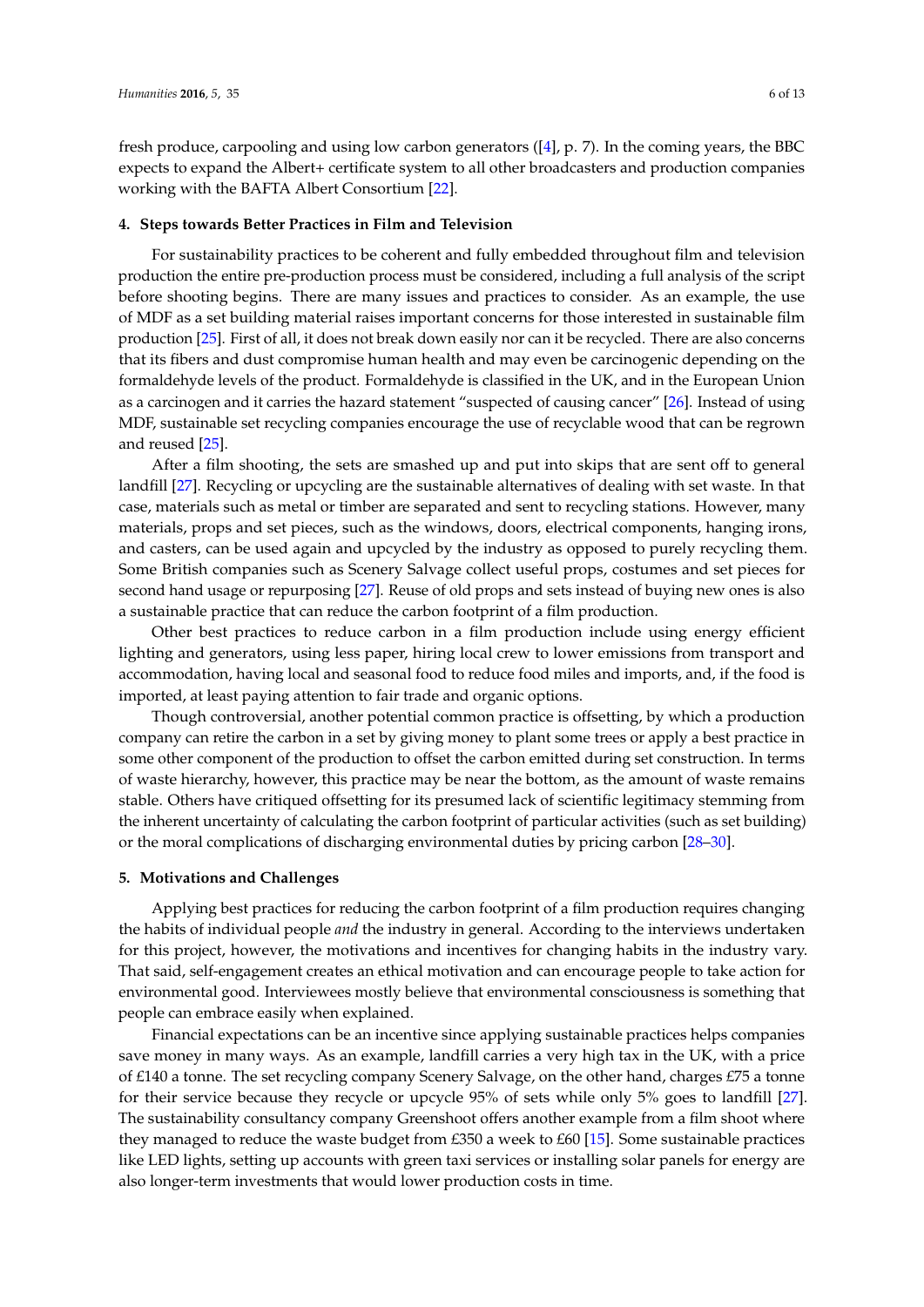fresh produce, carpooling and using low carbon generators ([\[4\]](#page-10-5), p. 7). In the coming years, the BBC expects to expand the Albert+ certificate system to all other broadcasters and production companies working with the BAFTA Albert Consortium [\[22\]](#page-11-13).

#### **4. Steps towards Better Practices in Film and Television**

For sustainability practices to be coherent and fully embedded throughout film and television production the entire pre-production process must be considered, including a full analysis of the script before shooting begins. There are many issues and practices to consider. As an example, the use of MDF as a set building material raises important concerns for those interested in sustainable film production [\[25\]](#page-11-16). First of all, it does not break down easily nor can it be recycled. There are also concerns that its fibers and dust compromise human health and may even be carcinogenic depending on the formaldehyde levels of the product. Formaldehyde is classified in the UK, and in the European Union as a carcinogen and it carries the hazard statement "suspected of causing cancer" [\[26\]](#page-11-17). Instead of using MDF, sustainable set recycling companies encourage the use of recyclable wood that can be regrown and reused [\[25\]](#page-11-16).

After a film shooting, the sets are smashed up and put into skips that are sent off to general landfill [\[27\]](#page-11-18). Recycling or upcycling are the sustainable alternatives of dealing with set waste. In that case, materials such as metal or timber are separated and sent to recycling stations. However, many materials, props and set pieces, such as the windows, doors, electrical components, hanging irons, and casters, can be used again and upcycled by the industry as opposed to purely recycling them. Some British companies such as Scenery Salvage collect useful props, costumes and set pieces for second hand usage or repurposing [\[27\]](#page-11-18). Reuse of old props and sets instead of buying new ones is also a sustainable practice that can reduce the carbon footprint of a film production.

Other best practices to reduce carbon in a film production include using energy efficient lighting and generators, using less paper, hiring local crew to lower emissions from transport and accommodation, having local and seasonal food to reduce food miles and imports, and, if the food is imported, at least paying attention to fair trade and organic options.

Though controversial, another potential common practice is offsetting, by which a production company can retire the carbon in a set by giving money to plant some trees or apply a best practice in some other component of the production to offset the carbon emitted during set construction. In terms of waste hierarchy, however, this practice may be near the bottom, as the amount of waste remains stable. Others have critiqued offsetting for its presumed lack of scientific legitimacy stemming from the inherent uncertainty of calculating the carbon footprint of particular activities (such as set building) or the moral complications of discharging environmental duties by pricing carbon [\[28](#page-11-19)[–30\]](#page-11-20).

#### **5. Motivations and Challenges**

Applying best practices for reducing the carbon footprint of a film production requires changing the habits of individual people *and* the industry in general. According to the interviews undertaken for this project, however, the motivations and incentives for changing habits in the industry vary. That said, self-engagement creates an ethical motivation and can encourage people to take action for environmental good. Interviewees mostly believe that environmental consciousness is something that people can embrace easily when explained.

Financial expectations can be an incentive since applying sustainable practices helps companies save money in many ways. As an example, landfill carries a very high tax in the UK, with a price of £140 a tonne. The set recycling company Scenery Salvage, on the other hand, charges £75 a tonne for their service because they recycle or upcycle 95% of sets while only 5% goes to landfill [\[27\]](#page-11-18). The sustainability consultancy company Greenshoot offers another example from a film shoot where they managed to reduce the waste budget from £350 a week to £60 [\[15\]](#page-11-6). Some sustainable practices like LED lights, setting up accounts with green taxi services or installing solar panels for energy are also longer-term investments that would lower production costs in time.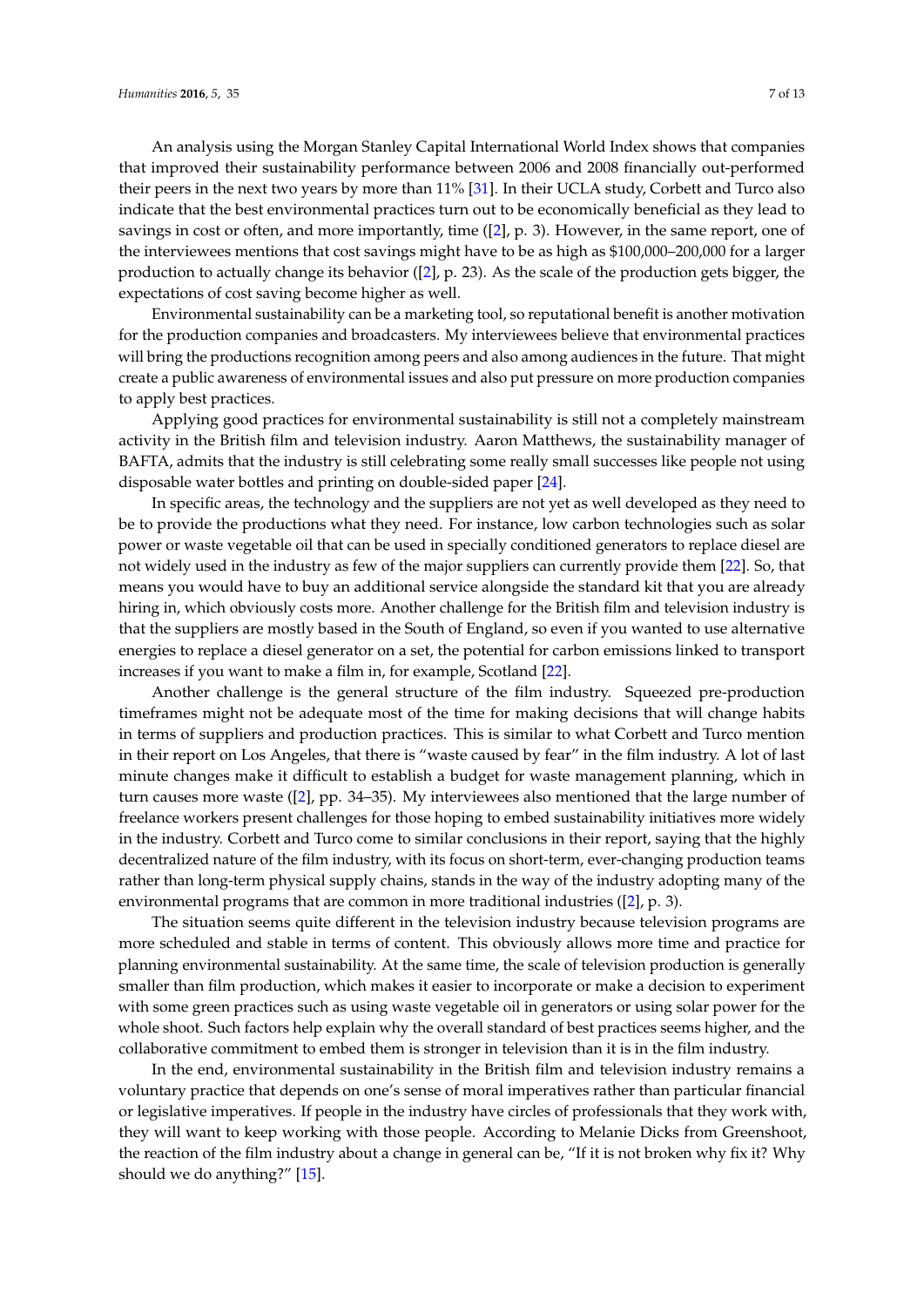An analysis using the Morgan Stanley Capital International World Index shows that companies that improved their sustainability performance between 2006 and 2008 financially out-performed their peers in the next two years by more than 11% [\[31\]](#page-11-21). In their UCLA study, Corbett and Turco also indicate that the best environmental practices turn out to be economically beneficial as they lead to savings in cost or often, and more importantly, time ([\[2\]](#page-10-1), p. 3). However, in the same report, one of the interviewees mentions that cost savings might have to be as high as \$100,000–200,000 for a larger production to actually change its behavior ([\[2\]](#page-10-1), p. 23). As the scale of the production gets bigger, the expectations of cost saving become higher as well.

Environmental sustainability can be a marketing tool, so reputational benefit is another motivation for the production companies and broadcasters. My interviewees believe that environmental practices will bring the productions recognition among peers and also among audiences in the future. That might create a public awareness of environmental issues and also put pressure on more production companies to apply best practices.

Applying good practices for environmental sustainability is still not a completely mainstream activity in the British film and television industry. Aaron Matthews, the sustainability manager of BAFTA, admits that the industry is still celebrating some really small successes like people not using disposable water bottles and printing on double-sided paper [\[24\]](#page-11-14).

In specific areas, the technology and the suppliers are not yet as well developed as they need to be to provide the productions what they need. For instance, low carbon technologies such as solar power or waste vegetable oil that can be used in specially conditioned generators to replace diesel are not widely used in the industry as few of the major suppliers can currently provide them [\[22\]](#page-11-13). So, that means you would have to buy an additional service alongside the standard kit that you are already hiring in, which obviously costs more. Another challenge for the British film and television industry is that the suppliers are mostly based in the South of England, so even if you wanted to use alternative energies to replace a diesel generator on a set, the potential for carbon emissions linked to transport increases if you want to make a film in, for example, Scotland [\[22\]](#page-11-13).

Another challenge is the general structure of the film industry. Squeezed pre-production timeframes might not be adequate most of the time for making decisions that will change habits in terms of suppliers and production practices. This is similar to what Corbett and Turco mention in their report on Los Angeles, that there is "waste caused by fear" in the film industry. A lot of last minute changes make it difficult to establish a budget for waste management planning, which in turn causes more waste ([\[2\]](#page-10-1), pp. 34–35). My interviewees also mentioned that the large number of freelance workers present challenges for those hoping to embed sustainability initiatives more widely in the industry. Corbett and Turco come to similar conclusions in their report, saying that the highly decentralized nature of the film industry, with its focus on short-term, ever-changing production teams rather than long-term physical supply chains, stands in the way of the industry adopting many of the environmental programs that are common in more traditional industries ([\[2\]](#page-10-1), p. 3).

The situation seems quite different in the television industry because television programs are more scheduled and stable in terms of content. This obviously allows more time and practice for planning environmental sustainability. At the same time, the scale of television production is generally smaller than film production, which makes it easier to incorporate or make a decision to experiment with some green practices such as using waste vegetable oil in generators or using solar power for the whole shoot. Such factors help explain why the overall standard of best practices seems higher, and the collaborative commitment to embed them is stronger in television than it is in the film industry.

In the end, environmental sustainability in the British film and television industry remains a voluntary practice that depends on one's sense of moral imperatives rather than particular financial or legislative imperatives. If people in the industry have circles of professionals that they work with, they will want to keep working with those people. According to Melanie Dicks from Greenshoot, the reaction of the film industry about a change in general can be, "If it is not broken why fix it? Why should we do anything?" [\[15\]](#page-11-6).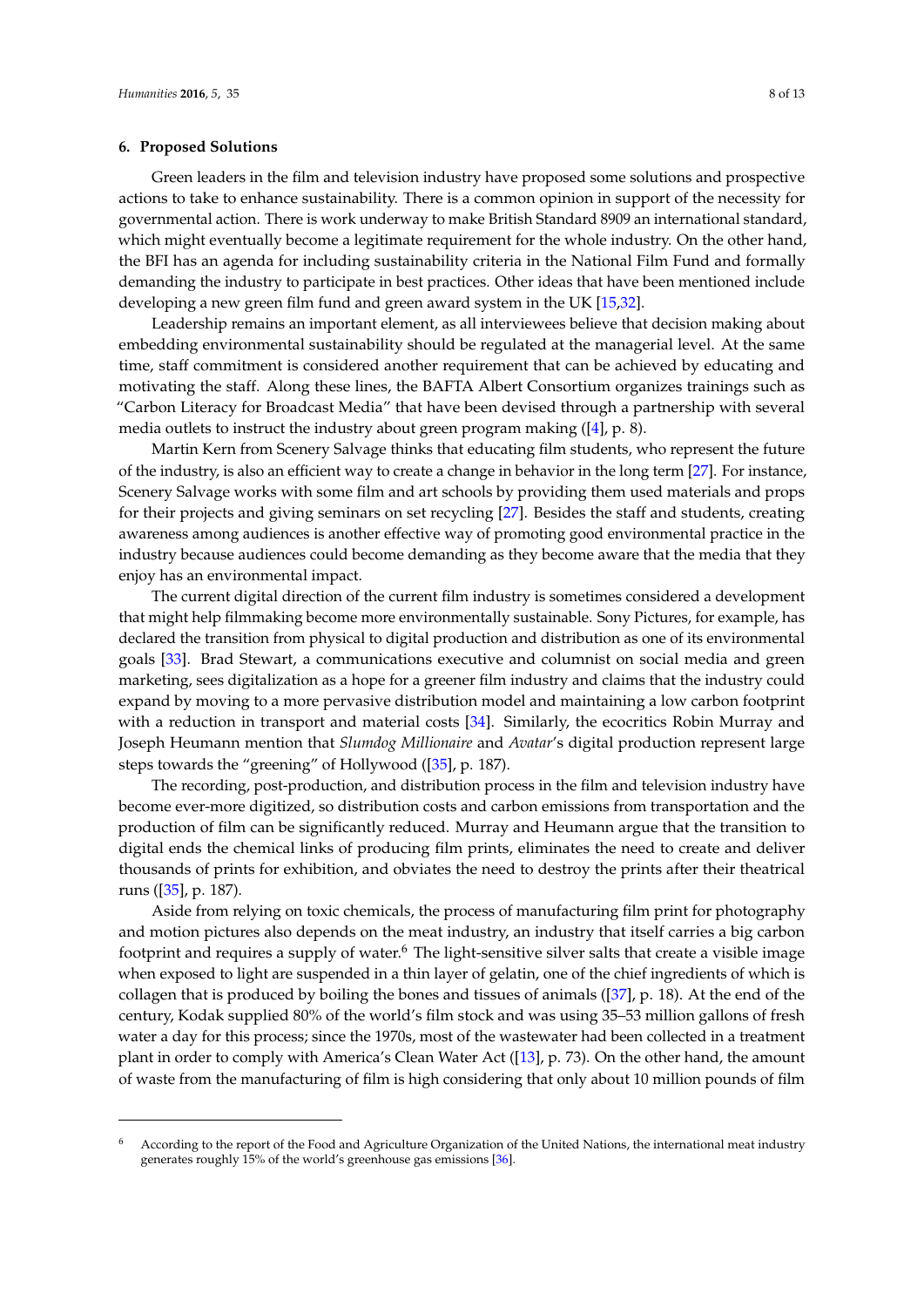## **6. Proposed Solutions**

Green leaders in the film and television industry have proposed some solutions and prospective actions to take to enhance sustainability. There is a common opinion in support of the necessity for governmental action. There is work underway to make British Standard 8909 an international standard, which might eventually become a legitimate requirement for the whole industry. On the other hand, the BFI has an agenda for including sustainability criteria in the National Film Fund and formally demanding the industry to participate in best practices. Other ideas that have been mentioned include developing a new green film fund and green award system in the UK [\[15](#page-11-6)[,32\]](#page-11-22).

Leadership remains an important element, as all interviewees believe that decision making about embedding environmental sustainability should be regulated at the managerial level. At the same time, staff commitment is considered another requirement that can be achieved by educating and motivating the staff. Along these lines, the BAFTA Albert Consortium organizes trainings such as "Carbon Literacy for Broadcast Media" that have been devised through a partnership with several media outlets to instruct the industry about green program making  $([4], p. 8)$  $([4], p. 8)$  $([4], p. 8)$ .

Martin Kern from Scenery Salvage thinks that educating film students, who represent the future of the industry, is also an efficient way to create a change in behavior in the long term [\[27\]](#page-11-18). For instance, Scenery Salvage works with some film and art schools by providing them used materials and props for their projects and giving seminars on set recycling [\[27\]](#page-11-18). Besides the staff and students, creating awareness among audiences is another effective way of promoting good environmental practice in the industry because audiences could become demanding as they become aware that the media that they enjoy has an environmental impact.

The current digital direction of the current film industry is sometimes considered a development that might help filmmaking become more environmentally sustainable. Sony Pictures, for example, has declared the transition from physical to digital production and distribution as one of its environmental goals [\[33\]](#page-11-23). Brad Stewart, a communications executive and columnist on social media and green marketing, sees digitalization as a hope for a greener film industry and claims that the industry could expand by moving to a more pervasive distribution model and maintaining a low carbon footprint with a reduction in transport and material costs [\[34\]](#page-12-0). Similarly, the ecocritics Robin Murray and Joseph Heumann mention that *Slumdog Millionaire* and *Avatar*'s digital production represent large steps towards the "greening" of Hollywood ([\[35\]](#page-12-1), p. 187).

The recording, post-production, and distribution process in the film and television industry have become ever-more digitized, so distribution costs and carbon emissions from transportation and the production of film can be significantly reduced. Murray and Heumann argue that the transition to digital ends the chemical links of producing film prints, eliminates the need to create and deliver thousands of prints for exhibition, and obviates the need to destroy the prints after their theatrical runs ([\[35\]](#page-12-1), p. 187).

Aside from relying on toxic chemicals, the process of manufacturing film print for photography and motion pictures also depends on the meat industry, an industry that itself carries a big carbon footprint and requires a supply of water.<sup>6</sup> The light-sensitive silver salts that create a visible image when exposed to light are suspended in a thin layer of gelatin, one of the chief ingredients of which is collagen that is produced by boiling the bones and tissues of animals ([\[37\]](#page-12-2), p. 18). At the end of the century, Kodak supplied 80% of the world's film stock and was using 35–53 million gallons of fresh water a day for this process; since the 1970s, most of the wastewater had been collected in a treatment plant in order to comply with America's Clean Water Act ([\[13\]](#page-11-4), p. 73). On the other hand, the amount of waste from the manufacturing of film is high considering that only about 10 million pounds of film

<sup>6</sup> According to the report of the Food and Agriculture Organization of the United Nations, the international meat industry generates roughly 15% of the world's greenhouse gas emissions [\[36\]](#page-12-3).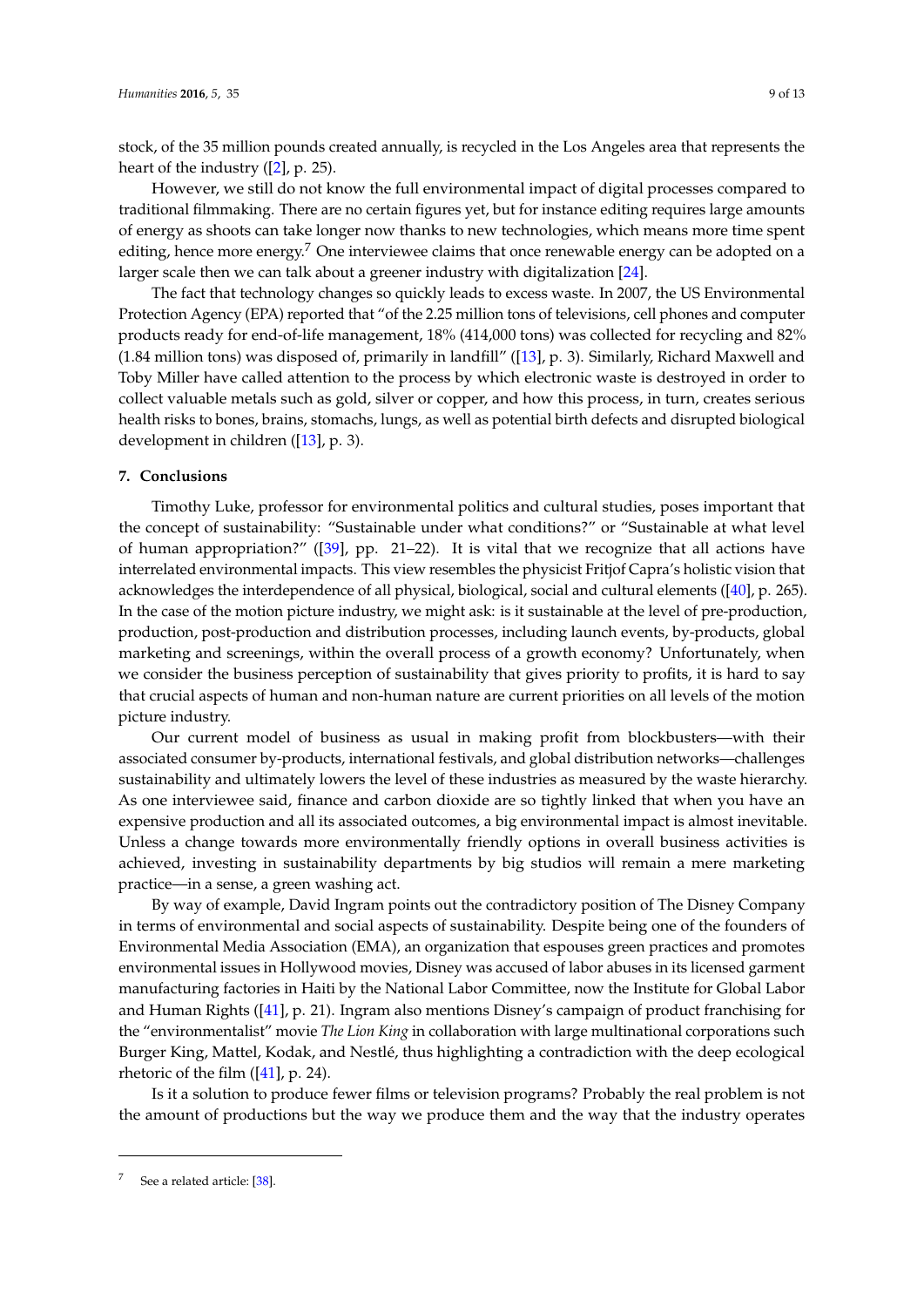stock, of the 35 million pounds created annually, is recycled in the Los Angeles area that represents the heart of the industry  $([2], p. 25)$  $([2], p. 25)$  $([2], p. 25)$ .

However, we still do not know the full environmental impact of digital processes compared to traditional filmmaking. There are no certain figures yet, but for instance editing requires large amounts of energy as shoots can take longer now thanks to new technologies, which means more time spent editing, hence more energy.<sup>7</sup> One interviewee claims that once renewable energy can be adopted on a larger scale then we can talk about a greener industry with digitalization [\[24\]](#page-11-14).

The fact that technology changes so quickly leads to excess waste. In 2007, the US Environmental Protection Agency (EPA) reported that "of the 2.25 million tons of televisions, cell phones and computer products ready for end-of-life management, 18% (414,000 tons) was collected for recycling and 82% (1.84 million tons) was disposed of, primarily in landfill" ([\[13\]](#page-11-4), p. 3). Similarly, Richard Maxwell and Toby Miller have called attention to the process by which electronic waste is destroyed in order to collect valuable metals such as gold, silver or copper, and how this process, in turn, creates serious health risks to bones, brains, stomachs, lungs, as well as potential birth defects and disrupted biological development in children ([\[13\]](#page-11-4), p. 3).

## **7. Conclusions**

Timothy Luke, professor for environmental politics and cultural studies, poses important that the concept of sustainability: "Sustainable under what conditions?" or "Sustainable at what level of human appropriation?" ([\[39\]](#page-12-4), pp. 21–22). It is vital that we recognize that all actions have interrelated environmental impacts. This view resembles the physicist Fritjof Capra's holistic vision that acknowledges the interdependence of all physical, biological, social and cultural elements ([\[40\]](#page-12-5), p. 265). In the case of the motion picture industry, we might ask: is it sustainable at the level of pre-production, production, post-production and distribution processes, including launch events, by-products, global marketing and screenings, within the overall process of a growth economy? Unfortunately, when we consider the business perception of sustainability that gives priority to profits, it is hard to say that crucial aspects of human and non-human nature are current priorities on all levels of the motion picture industry.

Our current model of business as usual in making profit from blockbusters—with their associated consumer by-products, international festivals, and global distribution networks—challenges sustainability and ultimately lowers the level of these industries as measured by the waste hierarchy. As one interviewee said, finance and carbon dioxide are so tightly linked that when you have an expensive production and all its associated outcomes, a big environmental impact is almost inevitable. Unless a change towards more environmentally friendly options in overall business activities is achieved, investing in sustainability departments by big studios will remain a mere marketing practice—in a sense, a green washing act.

By way of example, David Ingram points out the contradictory position of The Disney Company in terms of environmental and social aspects of sustainability. Despite being one of the founders of Environmental Media Association (EMA), an organization that espouses green practices and promotes environmental issues in Hollywood movies, Disney was accused of labor abuses in its licensed garment manufacturing factories in Haiti by the National Labor Committee, now the Institute for Global Labor and Human Rights ([\[41\]](#page-12-6), p. 21). Ingram also mentions Disney's campaign of product franchising for the "environmentalist" movie *The Lion King* in collaboration with large multinational corporations such Burger King, Mattel, Kodak, and Nestlé, thus highlighting a contradiction with the deep ecological rhetoric of the film  $([41], p. 24)$  $([41], p. 24)$  $([41], p. 24)$ .

Is it a solution to produce fewer films or television programs? Probably the real problem is not the amount of productions but the way we produce them and the way that the industry operates

See a related article: [\[38\]](#page-12-7).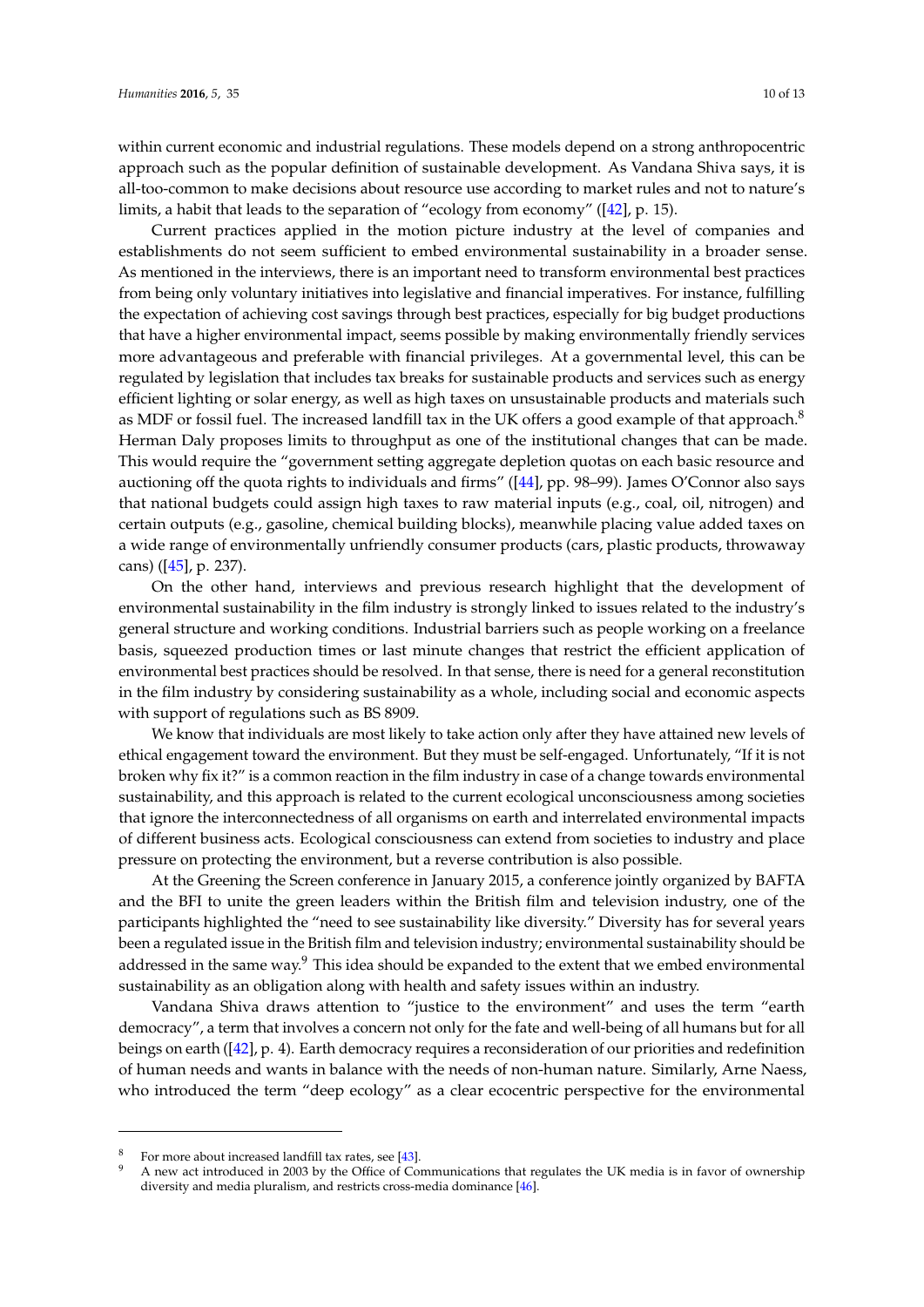within current economic and industrial regulations. These models depend on a strong anthropocentric approach such as the popular definition of sustainable development. As Vandana Shiva says, it is all-too-common to make decisions about resource use according to market rules and not to nature's limits, a habit that leads to the separation of "ecology from economy" ([\[42\]](#page-12-8), p. 15).

Current practices applied in the motion picture industry at the level of companies and establishments do not seem sufficient to embed environmental sustainability in a broader sense. As mentioned in the interviews, there is an important need to transform environmental best practices from being only voluntary initiatives into legislative and financial imperatives. For instance, fulfilling the expectation of achieving cost savings through best practices, especially for big budget productions that have a higher environmental impact, seems possible by making environmentally friendly services more advantageous and preferable with financial privileges. At a governmental level, this can be regulated by legislation that includes tax breaks for sustainable products and services such as energy efficient lighting or solar energy, as well as high taxes on unsustainable products and materials such as MDF or fossil fuel. The increased landfill tax in the UK offers a good example of that approach.<sup>8</sup> Herman Daly proposes limits to throughput as one of the institutional changes that can be made. This would require the "government setting aggregate depletion quotas on each basic resource and auctioning off the quota rights to individuals and firms" ([\[44\]](#page-12-9), pp. 98–99). James O'Connor also says that national budgets could assign high taxes to raw material inputs (e.g., coal, oil, nitrogen) and certain outputs (e.g., gasoline, chemical building blocks), meanwhile placing value added taxes on a wide range of environmentally unfriendly consumer products (cars, plastic products, throwaway cans) ([\[45\]](#page-12-10), p. 237).

On the other hand, interviews and previous research highlight that the development of environmental sustainability in the film industry is strongly linked to issues related to the industry's general structure and working conditions. Industrial barriers such as people working on a freelance basis, squeezed production times or last minute changes that restrict the efficient application of environmental best practices should be resolved. In that sense, there is need for a general reconstitution in the film industry by considering sustainability as a whole, including social and economic aspects with support of regulations such as BS 8909.

We know that individuals are most likely to take action only after they have attained new levels of ethical engagement toward the environment. But they must be self-engaged. Unfortunately, "If it is not broken why fix it?" is a common reaction in the film industry in case of a change towards environmental sustainability, and this approach is related to the current ecological unconsciousness among societies that ignore the interconnectedness of all organisms on earth and interrelated environmental impacts of different business acts. Ecological consciousness can extend from societies to industry and place pressure on protecting the environment, but a reverse contribution is also possible.

At the Greening the Screen conference in January 2015, a conference jointly organized by BAFTA and the BFI to unite the green leaders within the British film and television industry, one of the participants highlighted the "need to see sustainability like diversity." Diversity has for several years been a regulated issue in the British film and television industry; environmental sustainability should be addressed in the same way.<sup>9</sup> This idea should be expanded to the extent that we embed environmental sustainability as an obligation along with health and safety issues within an industry.

Vandana Shiva draws attention to "justice to the environment" and uses the term "earth democracy", a term that involves a concern not only for the fate and well-being of all humans but for all beings on earth ([\[42\]](#page-12-8), p. 4). Earth democracy requires a reconsideration of our priorities and redefinition of human needs and wants in balance with the needs of non-human nature. Similarly, Arne Naess, who introduced the term "deep ecology" as a clear ecocentric perspective for the environmental

For more about increased landfill tax rates, see [\[43\]](#page-12-11).

<sup>9</sup> A new act introduced in 2003 by the Office of Communications that regulates the UK media is in favor of ownership diversity and media pluralism, and restricts cross-media dominance [\[46\]](#page-12-12).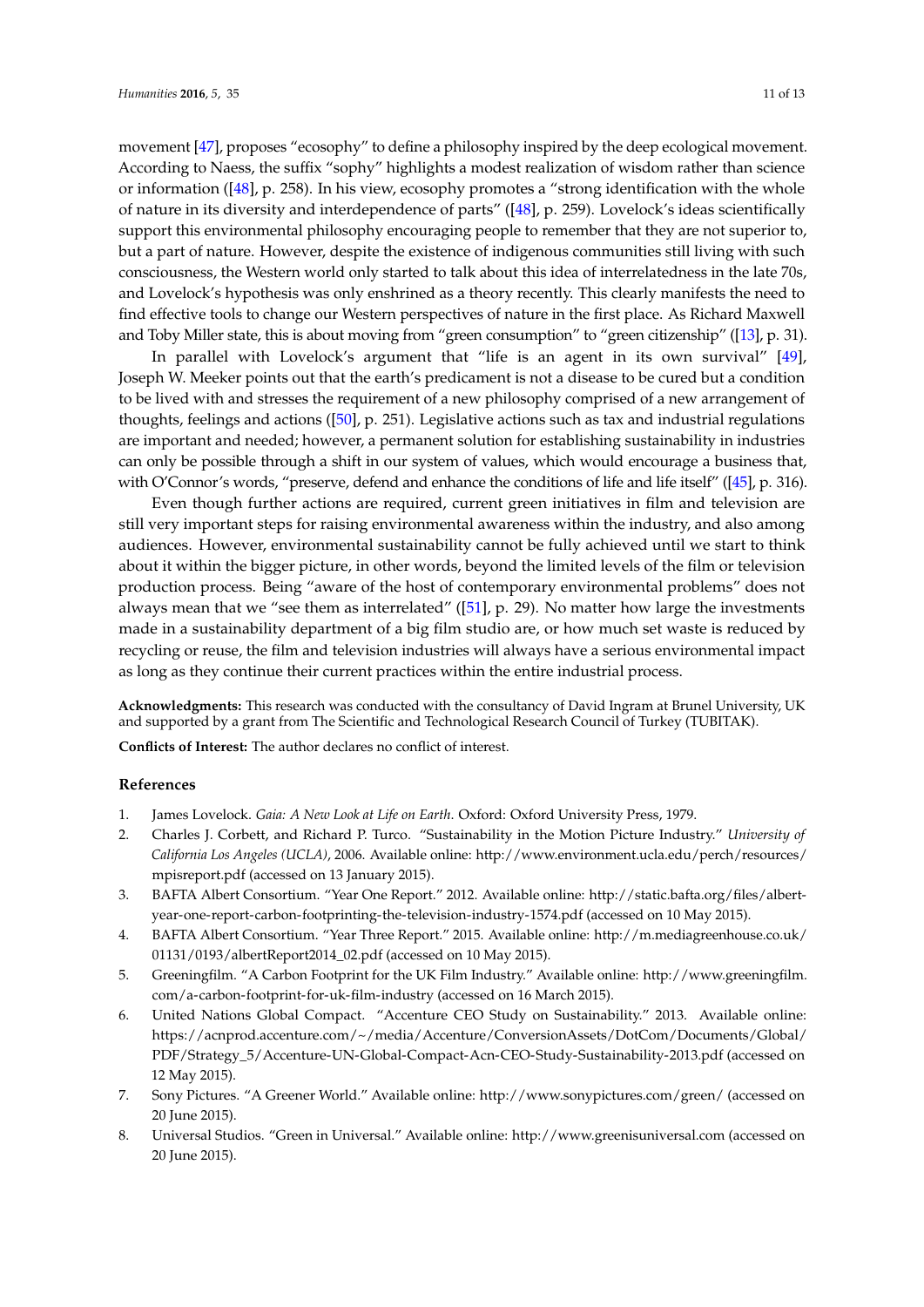movement [\[47\]](#page-12-13), proposes "ecosophy" to define a philosophy inspired by the deep ecological movement. According to Naess, the suffix "sophy" highlights a modest realization of wisdom rather than science or information ([\[48\]](#page-12-14), p. 258). In his view, ecosophy promotes a "strong identification with the whole of nature in its diversity and interdependence of parts" ([\[48\]](#page-12-14), p. 259). Lovelock's ideas scientifically support this environmental philosophy encouraging people to remember that they are not superior to, but a part of nature. However, despite the existence of indigenous communities still living with such consciousness, the Western world only started to talk about this idea of interrelatedness in the late 70s, and Lovelock's hypothesis was only enshrined as a theory recently. This clearly manifests the need to find effective tools to change our Western perspectives of nature in the first place. As Richard Maxwell and Toby Miller state, this is about moving from "green consumption" to "green citizenship" ([\[13\]](#page-11-4), p. 31).

In parallel with Lovelock's argument that "life is an agent in its own survival" [\[49\]](#page-12-15), Joseph W. Meeker points out that the earth's predicament is not a disease to be cured but a condition to be lived with and stresses the requirement of a new philosophy comprised of a new arrangement of thoughts, feelings and actions ([\[50\]](#page-12-16), p. 251). Legislative actions such as tax and industrial regulations are important and needed; however, a permanent solution for establishing sustainability in industries can only be possible through a shift in our system of values, which would encourage a business that, with O'Connor's words, "preserve, defend and enhance the conditions of life and life itself" ([\[45\]](#page-12-10), p. 316).

Even though further actions are required, current green initiatives in film and television are still very important steps for raising environmental awareness within the industry, and also among audiences. However, environmental sustainability cannot be fully achieved until we start to think about it within the bigger picture, in other words, beyond the limited levels of the film or television production process. Being "aware of the host of contemporary environmental problems" does not always mean that we "see them as interrelated" ([\[51\]](#page-12-17), p. 29). No matter how large the investments made in a sustainability department of a big film studio are, or how much set waste is reduced by recycling or reuse, the film and television industries will always have a serious environmental impact as long as they continue their current practices within the entire industrial process.

**Acknowledgments:** This research was conducted with the consultancy of David Ingram at Brunel University, UK and supported by a grant from The Scientific and Technological Research Council of Turkey (TUBITAK).

**Conflicts of Interest:** The author declares no conflict of interest.

## **References**

- <span id="page-10-0"></span>1. James Lovelock. *Gaia: A New Look at Life on Earth*. Oxford: Oxford University Press, 1979.
- <span id="page-10-1"></span>2. Charles J. Corbett, and Richard P. Turco. "Sustainability in the Motion Picture Industry." *University of California Los Angeles (UCLA)*, 2006. Available online: [http://www.environment.ucla.edu/perch/resources/](http://www.environment.ucla.edu/perch/resources/mpisreport.pdf) [mpisreport.pdf](http://www.environment.ucla.edu/perch/resources/mpisreport.pdf) (accessed on 13 January 2015).
- 3. BAFTA Albert Consortium. "Year One Report." 2012. Available online: [http://static.bafta.org/files/albert](http://static.bafta.org/files/albert-year-one-report-carbon-footprinting-the-television-industry-1574.pdf)[year-one-report-carbon-footprinting-the-television-industry-1574.pdf](http://static.bafta.org/files/albert-year-one-report-carbon-footprinting-the-television-industry-1574.pdf) (accessed on 10 May 2015).
- <span id="page-10-5"></span>4. BAFTA Albert Consortium. "Year Three Report." 2015. Available online: [http://m.mediagreenhouse.co.uk/](http://m.mediagreenhouse.co.uk/01131/0193/albertReport2014_02.pdf) [01131/0193/albertReport2014\\_02.pdf](http://m.mediagreenhouse.co.uk/01131/0193/albertReport2014_02.pdf) (accessed on 10 May 2015).
- <span id="page-10-2"></span>5. Greeningfilm. "A Carbon Footprint for the UK Film Industry." Available online: [http://www.greeningfilm.](http://www.greeningfilm.com/a-carbon-footprint-for-uk-film-industry) [com/a-carbon-footprint-for-uk-film-industry](http://www.greeningfilm.com/a-carbon-footprint-for-uk-film-industry) (accessed on 16 March 2015).
- <span id="page-10-3"></span>6. United Nations Global Compact. "Accenture CEO Study on Sustainability." 2013. Available online: [https://acnprod.accenture.com/~/media/Accenture/ConversionAssets/DotCom/Documents/Global/](https://acnprod.accenture.com/~/media/Accenture/ConversionAssets/DotCom/Documents/Global/PDF/Strategy_5/Accenture-UN-Global-Compact-Acn-CEO-Study-Sustainability-2013.pdf) [PDF/Strategy\\_5/Accenture-UN-Global-Compact-Acn-CEO-Study-Sustainability-2013.pdf](https://acnprod.accenture.com/~/media/Accenture/ConversionAssets/DotCom/Documents/Global/PDF/Strategy_5/Accenture-UN-Global-Compact-Acn-CEO-Study-Sustainability-2013.pdf) (accessed on 12 May 2015).
- <span id="page-10-4"></span>7. Sony Pictures. "A Greener World." Available online: <http://www.sonypictures.com/green/> (accessed on 20 June 2015).
- 8. Universal Studios. "Green in Universal." Available online: <http://www.greenisuniversal.com> (accessed on 20 June 2015).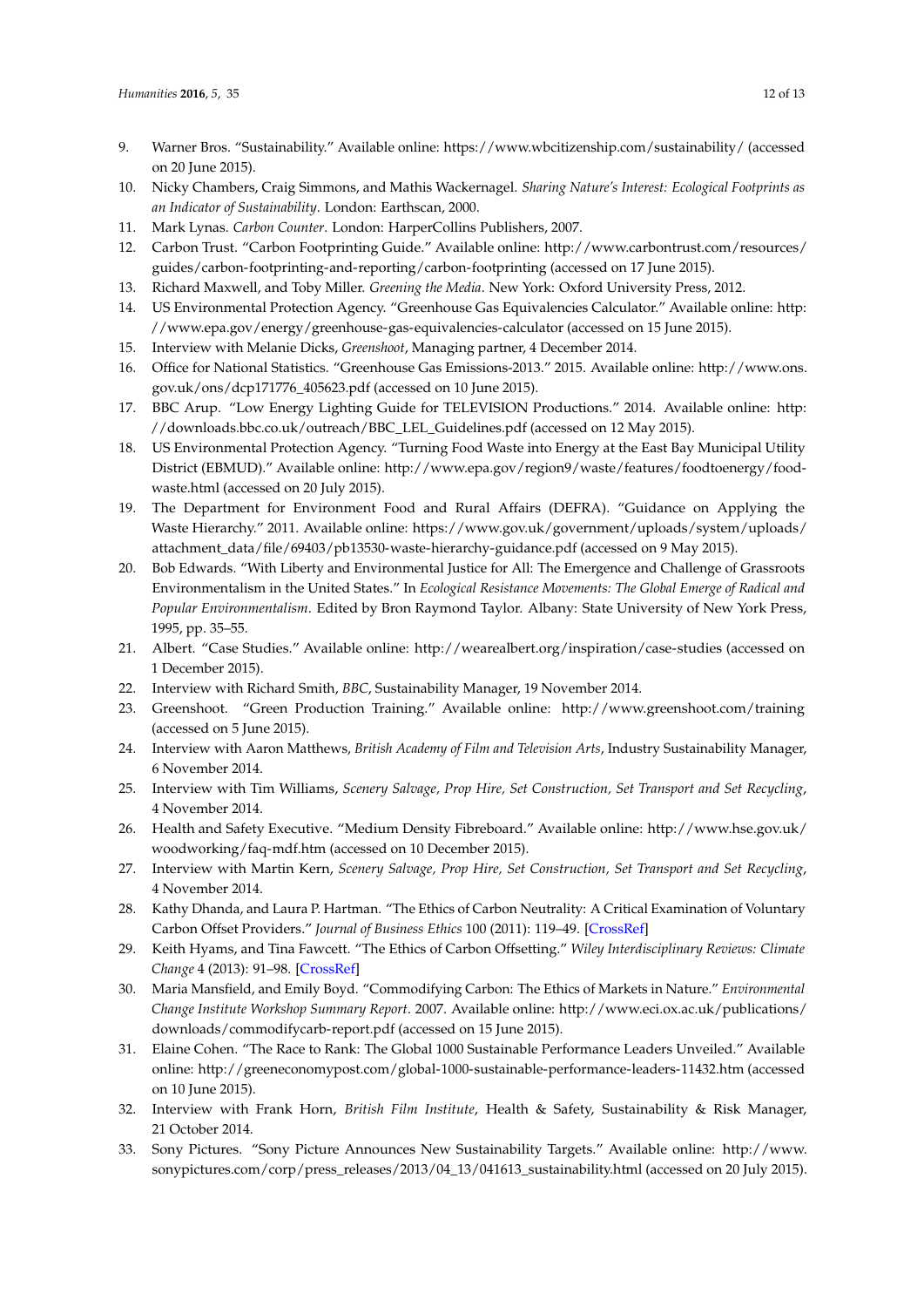- <span id="page-11-0"></span>9. Warner Bros. "Sustainability." Available online: <https://www.wbcitizenship.com/sustainability/> (accessed on 20 June 2015).
- <span id="page-11-1"></span>10. Nicky Chambers, Craig Simmons, and Mathis Wackernagel. *Sharing Nature's Interest: Ecological Footprints as an Indicator of Sustainability*. London: Earthscan, 2000.
- <span id="page-11-2"></span>11. Mark Lynas. *Carbon Counter*. London: HarperCollins Publishers, 2007.
- <span id="page-11-3"></span>12. Carbon Trust. "Carbon Footprinting Guide." Available online: [http://www.carbontrust.com/resources/](http://www.carbontrust.com/resources/guides/carbon-footprinting-and-reporting/carbon-footprinting) [guides/carbon-footprinting-and-reporting/carbon-footprinting](http://www.carbontrust.com/resources/guides/carbon-footprinting-and-reporting/carbon-footprinting) (accessed on 17 June 2015).
- <span id="page-11-4"></span>13. Richard Maxwell, and Toby Miller. *Greening the Media*. New York: Oxford University Press, 2012.
- <span id="page-11-5"></span>14. US Environmental Protection Agency. "Greenhouse Gas Equivalencies Calculator." Available online: [http:](http://www.epa.gov/energy/greenhouse-gas-equivalencies-calculator) [//www.epa.gov/energy/greenhouse-gas-equivalencies-calculator](http://www.epa.gov/energy/greenhouse-gas-equivalencies-calculator) (accessed on 15 June 2015).
- <span id="page-11-6"></span>15. Interview with Melanie Dicks, *Greenshoot*, Managing partner, 4 December 2014.
- <span id="page-11-7"></span>16. Office for National Statistics. "Greenhouse Gas Emissions-2013." 2015. Available online: [http://www.ons.](http://www.ons.gov.uk/ons/dcp171776_405623.pdf) [gov.uk/ons/dcp171776\\_405623.pdf](http://www.ons.gov.uk/ons/dcp171776_405623.pdf) (accessed on 10 June 2015).
- <span id="page-11-10"></span>17. BBC Arup. "Low Energy Lighting Guide for TELEVISION Productions." 2014. Available online: [http:](http://downloads.bbc.co.uk/outreach/BBC_LEL_Guidelines.pdf) [//downloads.bbc.co.uk/outreach/BBC\\_LEL\\_Guidelines.pdf](http://downloads.bbc.co.uk/outreach/BBC_LEL_Guidelines.pdf) (accessed on 12 May 2015).
- <span id="page-11-11"></span>18. US Environmental Protection Agency. "Turning Food Waste into Energy at the East Bay Municipal Utility District (EBMUD)." Available online: [http://www.epa.gov/region9/waste/features/foodtoenergy/food](http://www.epa.gov/region9/waste/features/foodtoenergy/food-waste.html)[waste.html](http://www.epa.gov/region9/waste/features/foodtoenergy/food-waste.html) (accessed on 20 July 2015).
- <span id="page-11-8"></span>19. The Department for Environment Food and Rural Affairs (DEFRA). "Guidance on Applying the Waste Hierarchy." 2011. Available online: [https://www.gov.uk/government/uploads/system/uploads/](https://www.gov.uk/government/uploads/system/uploads/attachment_data/file/69403/pb13530-waste-hierarchy-guidance.pdf) [attachment\\_data/file/69403/pb13530-waste-hierarchy-guidance.pdf](https://www.gov.uk/government/uploads/system/uploads/attachment_data/file/69403/pb13530-waste-hierarchy-guidance.pdf) (accessed on 9 May 2015).
- <span id="page-11-9"></span>20. Bob Edwards. "With Liberty and Environmental Justice for All: The Emergence and Challenge of Grassroots Environmentalism in the United States." In *Ecological Resistance Movements: The Global Emerge of Radical and Popular Environmentalism*. Edited by Bron Raymond Taylor. Albany: State University of New York Press, 1995, pp. 35–55.
- <span id="page-11-12"></span>21. Albert. "Case Studies." Available online: <http://wearealbert.org/inspiration/case-studies> (accessed on 1 December 2015).
- <span id="page-11-13"></span>22. Interview with Richard Smith, *BBC*, Sustainability Manager, 19 November 2014.
- <span id="page-11-15"></span>23. Greenshoot. "Green Production Training." Available online: <http://www.greenshoot.com/training> (accessed on 5 June 2015).
- <span id="page-11-14"></span>24. Interview with Aaron Matthews, *British Academy of Film and Television Arts*, Industry Sustainability Manager, 6 November 2014.
- <span id="page-11-16"></span>25. Interview with Tim Williams, *Scenery Salvage, Prop Hire, Set Construction, Set Transport and Set Recycling*, 4 November 2014.
- <span id="page-11-17"></span>26. Health and Safety Executive. "Medium Density Fibreboard." Available online: [http://www.hse.gov.uk/](http://www.hse.gov.uk/woodworking/faq-mdf.htm) [woodworking/faq-mdf.htm](http://www.hse.gov.uk/woodworking/faq-mdf.htm) (accessed on 10 December 2015).
- <span id="page-11-18"></span>27. Interview with Martin Kern, *Scenery Salvage, Prop Hire, Set Construction, Set Transport and Set Recycling*, 4 November 2014.
- <span id="page-11-19"></span>28. Kathy Dhanda, and Laura P. Hartman. "The Ethics of Carbon Neutrality: A Critical Examination of Voluntary Carbon Offset Providers." *Journal of Business Ethics* 100 (2011): 119–49. [\[CrossRef\]](http://dx.doi.org/10.1007/s10551-011-0766-4)
- 29. Keith Hyams, and Tina Fawcett. "The Ethics of Carbon Offsetting." *Wiley Interdisciplinary Reviews: Climate Change* 4 (2013): 91–98. [\[CrossRef\]](http://dx.doi.org/10.1002/wcc.207)
- <span id="page-11-20"></span>30. Maria Mansfield, and Emily Boyd. "Commodifying Carbon: The Ethics of Markets in Nature." *Environmental Change Institute Workshop Summary Report*. 2007. Available online: [http://www.eci.ox.ac.uk/publications/](http://www.eci.ox.ac.uk/publications/downloads/commodifycarb-report.pdf) [downloads/commodifycarb-report.pdf](http://www.eci.ox.ac.uk/publications/downloads/commodifycarb-report.pdf) (accessed on 15 June 2015).
- <span id="page-11-21"></span>31. Elaine Cohen. "The Race to Rank: The Global 1000 Sustainable Performance Leaders Unveiled." Available online: <http://greeneconomypost.com/global-1000-sustainable-performance-leaders-11432.htm> (accessed on 10 June 2015).
- <span id="page-11-22"></span>32. Interview with Frank Horn, *British Film Institute*, Health & Safety, Sustainability & Risk Manager, 21 October 2014.
- <span id="page-11-23"></span>33. Sony Pictures. "Sony Picture Announces New Sustainability Targets." Available online: [http://www.](http://www.sonypictures.com/corp/press_releases/2013/04_13/041613_sustainability.html) [sonypictures.com/corp/press\\_releases/2013/04\\_13/041613\\_sustainability.html](http://www.sonypictures.com/corp/press_releases/2013/04_13/041613_sustainability.html) (accessed on 20 July 2015).